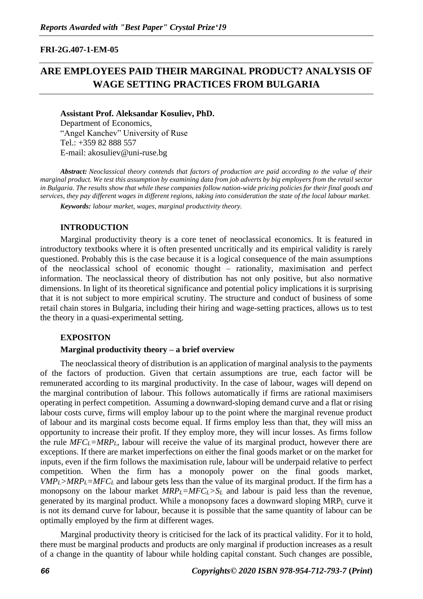#### **FRI-2G.407-1-EM-05**

# **ARE EMPLOYEES PAID THEIR MARGINAL PRODUCT? ANALYSIS OF WAGE SETTING PRACTICES FROM BULGARIA**

**Assistant Prof. Aleksandar Kosuliev, PhD.** Department of Economics, "Angel Kanchev" University of Ruse Tel.: +359 82 888 557 E-mail: akosuliev@uni-ruse.bg

*Abstract: Neoclassical theory contends that factors of production are paid according to the value of their marginal product. We test this assumption by examining data from job adverts by big employers from the retail sector in Bulgaria. The results show that while these companies follow nation-wide pricing policies for their final goods and services, they pay different wages in different regions, taking into consideration the state of the local labour market.* 

*Keywords: labour market, wages, marginal productivity theory.*

#### **INTRODUCTION**

Marginal productivity theory is a core tenet of neoclassical economics. It is featured in introductory textbooks where it is often presented uncritically and its empirical validity is rarely questioned. Probably this is the case because it is a logical consequence of the main assumptions of the neoclassical school of economic thought – rationality, maximisation and perfect information. The neoclassical theory of distribution has not only positive, but also normative dimensions. In light of its theoretical significance and potential policy implications it is surprising that it is not subject to more empirical scrutiny. The structure and conduct of business of some retail chain stores in Bulgaria, including their hiring and wage-setting practices, allows us to test the theory in a quasi-experimental setting.

#### **EXPOSITON**

#### **Marginal productivity theory – a brief overview**

The neoclassical theory of distribution is an application of marginal analysis to the payments of the factors of production. Given that certain assumptions are true, each factor will be remunerated according to its marginal productivity. In the case of labour, wages will depend on the marginal contribution of labour. This follows automatically if firms are rational maximisers operating in perfect competition. Assuming a downward-sloping demand curve and a flat or rising labour costs curve, firms will employ labour up to the point where the marginal revenue product of labour and its marginal costs become equal. If firms employ less than that, they will miss an opportunity to increase their profit. If they employ more, they will incur losses. As firms follow the rule  $MFC_L=MRP_L$ , labour will receive the value of its marginal product, however there are exceptions. If there are market imperfections on either the final goods market or on the market for inputs, even if the firm follows the maximisation rule, labour will be underpaid relative to perfect competition. When the firm has a monopoly power on the final goods market,  $VMP_L > MRP_L = MFC_L$  and labour gets less than the value of its marginal product. If the firm has a monopsony on the labour market  $MRP_L = MFC_L > S_L$  and labour is paid less than the revenue, generated by its marginal product. While a monopsony faces a downward sloping MRP<sup>L</sup> curve it is not its demand curve for labour, because it is possible that the same quantity of labour can be optimally employed by the firm at different wages.

Marginal productivity theory is criticised for the lack of its practical validity. For it to hold, there must be marginal products and products are only marginal if production increases as a result of a change in the quantity of labour while holding capital constant. Such changes are possible,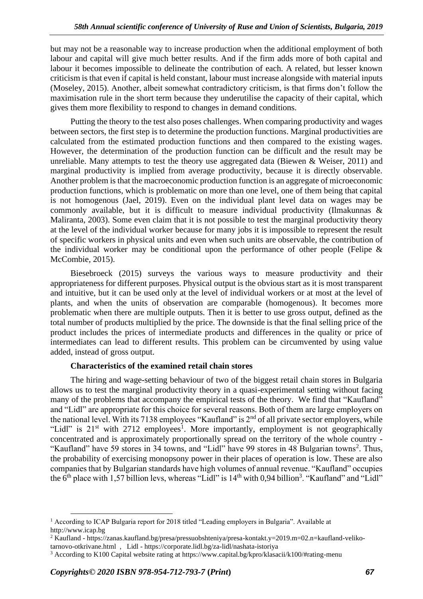but may not be a reasonable way to increase production when the additional employment of both labour and capital will give much better results. And if the firm adds more of both capital and labour it becomes impossible to delineate the contribution of each. A related, but lesser known criticism is that even if capital is held constant, labour must increase alongside with material inputs (Moseley, 2015). Another, albeit somewhat contradictory criticism, is that firms don't follow the maximisation rule in the short term because they underutilise the capacity of their capital, which gives them more flexibility to respond to changes in demand conditions.

Putting the theory to the test also poses challenges. When comparing productivity and wages between sectors, the first step is to determine the production functions. Marginal productivities are calculated from the estimated production functions and then compared to the existing wages. However, the determination of the production function can be difficult and the result may be unreliable. Many attempts to test the theory use aggregated data (Biewen & Weiser, 2011) and marginal productivity is implied from average productivity, because it is directly observable. Another problem is that the macroeconomic production function is an aggregate of microeconomic production functions, which is problematic on more than one level, one of them being that capital is not homogenous (Jael, 2019). Even on the individual plant level data on wages may be commonly available, but it is difficult to measure individual productivity (Ilmakunnas & Maliranta, 2003). Some even claim that it is not possible to test the marginal productivity theory at the level of the individual worker because for many jobs it is impossible to represent the result of specific workers in physical units and even when such units are observable, the contribution of the individual worker may be conditional upon the performance of other people (Felipe  $\&$ McCombie, 2015).

Biesebroeck (2015) surveys the various ways to measure productivity and their appropriateness for different purposes. Physical output is the obvious start as it is most transparent and intuitive, but it can be used only at the level of individual workers or at most at the level of plants, and when the units of observation are comparable (homogenous). It becomes more problematic when there are multiple outputs. Then it is better to use gross output, defined as the total number of products multiplied by the price. The downside is that the final selling price of the product includes the prices of intermediate products and differences in the quality or price of intermediates can lead to different results. This problem can be circumvented by using value added, instead of gross output.

# **Characteristics of the examined retail chain stores**

The hiring and wage-setting behaviour of two of the biggest retail chain stores in Bulgaria allows us to test the marginal productivity theory in a quasi-experimental setting without facing many of the problems that accompany the empirical tests of the theory. We find that "Kaufland" and "Lidl" are appropriate for this choice for several reasons. Both of them are large employers on the national level. With its 7138 employees "Kaufland" is 2nd of all private sector employers, while "Lidl" is  $21<sup>st</sup>$  with  $2712$  employees<sup>1</sup>. More importantly, employment is not geographically concentrated and is approximately proportionally spread on the territory of the whole country - "Kaufland" have 59 stores in 34 towns, and "Lidl" have 99 stores in 48 Bulgarian towns<sup>2</sup>. Thus, the probability of exercising monopsony power in their places of operation is low. These are also companies that by Bulgarian standards have high volumes of annual revenue. "Kaufland" occupies the  $6<sup>th</sup>$  place with 1,57 billion levs, whereas "Lidl" is 14<sup>th</sup> with 0,94 billion<sup>3</sup>. "Kaufland" and "Lidl"

<sup>&</sup>lt;sup>1</sup> According to ICAP Bulgaria report for 2018 titled "Leading employers in Bulgaria". Available at [http://www.icap.bg](http://www.icap.bg/)

<sup>2</sup> Kaufland - [https://zanas.kaufland.bg/presa/pressuobshteniya/presa-kontakt.y=2019.m=02.n=kaufland-veliko](https://zanas.kaufland.bg/presa/pressuobshteniya/presa-kontakt.y=2019.m=02.n=kaufland-veliko-tarnovo-otkrivane.html)[tarnovo-otkrivane.html](https://zanas.kaufland.bg/presa/pressuobshteniya/presa-kontakt.y=2019.m=02.n=kaufland-veliko-tarnovo-otkrivane.html) , Lidl - <https://corporate.lidl.bg/za-lidl/nashata-istoriya>

<sup>3</sup> According to K100 Capital website rating at<https://www.capital.bg/kpro/klasacii/k100/#rating-menu>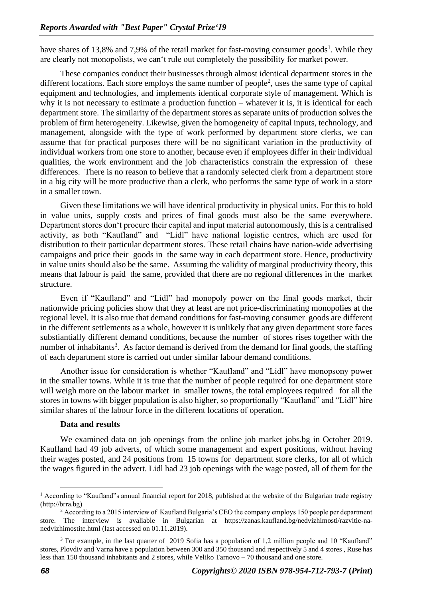have shares of 13,8% and 7,9% of the retail market for fast-moving consumer goods<sup>1</sup>. While they are clearly not monopolists, we can't rule out completely the possibility for market power.

These companies conduct their businesses through almost identical department stores in the different locations. Each store employs the same number of people<sup>2</sup>, uses the same type of capital equipment and technologies, and implements identical corporate style of management. Which is why it is not necessary to estimate a production function – whatever it is, it is identical for each department store. The similarity of the department stores as separate units of production solves the problem of firm heterogeneity. Likewise, given the homogeneity of capital inputs, technology, and management, alongside with the type of work performed by department store clerks, we can assume that for practical purposes there will be no significant variation in the productivity of individual workers from one store to another, because even if employees differ in their individual qualities, the work environment and the job characteristics constrain the expression of these differences. There is no reason to believe that a randomly selected clerk from a department store in a big city will be more productive than a clerk, who performs the same type of work in a store in a smaller town.

Given these limitations we will have identical productivity in physical units. For this to hold in value units, supply costs and prices of final goods must also be the same everywhere. Department stores don't procure their capital and input material autonomously, this is a centralised activity, as both "Kaufland" and "Lidl" have national logistic centres, which are used for distribution to their particular department stores. These retail chains have nation-wide advertising campaigns and price their goods in the same way in each department store. Hence, productivity in value units should also be the same. Assuming the validity of marginal productivity theory, this means that labour is paid the same, provided that there are no regional differences in the market structure.

Even if "Kaufland" and "Lidl" had monopoly power on the final goods market, their nationwide pricing policies show that they at least are not price-discriminating monopolies at the regional level. It is also true that demand conditions for fast-moving consumer goods are different in the different settlements as a whole, however it is unlikely that any given department store faces substiantially different demand conditions, because the number of stores rises together with the number of inhabitants<sup>3</sup>. As factor demand is derived from the demand for final goods, the staffing of each department store is carried out under similar labour demand conditions.

Another issue for consideration is whether "Kaufland" and "Lidl" have monopsony power in the smaller towns. While it is true that the number of people required for one department store will weigh more on the labour market in smaller towns, the total employees required for all the stores in towns with bigger population is also higher, so proportionally "Kaufland" and "Lidl" hire similar shares of the labour force in the different locations of operation.

### **Data and results**

We examined data on job openings from the online job market jobs.bg in October 2019. Kaufland had 49 job adverts, of which some management and expert positions, without having their wages posted, and 24 positions from 15 towns for department store clerks, for all of which the wages figured in the advert. Lidl had 23 job openings with the wage posted, all of them for the

<sup>&</sup>lt;sup>1</sup> According to "Kaufland"s annual financial report for 2018, published at the website of the Bulgarian trade registry (http://brra.bg)

<sup>&</sup>lt;sup>2</sup> According to a 2015 interview of Kaufland Bulgaria's CEO the company employs 150 people per department store. The interview is avaliable in Bulgarian at [https://zanas.kaufland.bg/nedvizhimosti/razvitie-na](https://zanas.kaufland.bg/nedvizhimosti/razvitie-na-nedvizhimostite.html)[nedvizhimostite.html](https://zanas.kaufland.bg/nedvizhimosti/razvitie-na-nedvizhimostite.html) (last accessed on 01.11.2019).

<sup>&</sup>lt;sup>3</sup> For example, in the last quarter of 2019 Sofia has a population of 1,2 million people and 10 "Kaufland" stores, Plovdiv and Varna have a population between 300 and 350 thousand and respectively 5 and 4 stores , Ruse has less than 150 thousand inhabitants and 2 stores, while Veliko Tarnovo – 70 thousand and one store.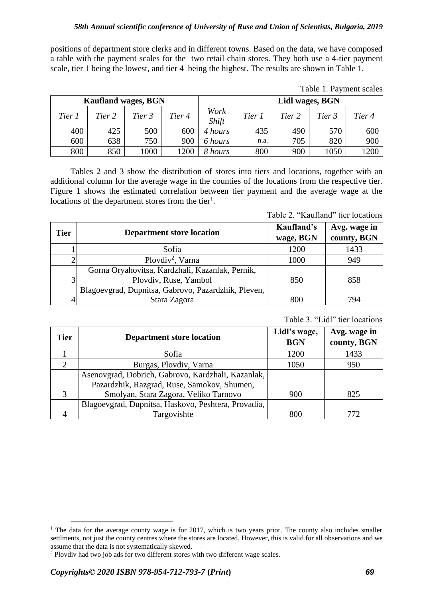positions of department store clerks and in different towns. Based on the data, we have composed a table with the payment scales for the two retail chain stores. They both use a 4-tier payment scale, tier 1 being the lowest, and tier 4 being the highest. The results are shown in Table 1.

| Table 1. Payment scales |  |  |  |  |  |
|-------------------------|--|--|--|--|--|
|-------------------------|--|--|--|--|--|

| <b>Kaufland wages, BGN</b> |        |        |        | Lidl wages, BGN |        |        |        |        |
|----------------------------|--------|--------|--------|-----------------|--------|--------|--------|--------|
| Tier 1                     | Tier 2 | Tier 3 | Tier 4 | Work<br>Shift   | Tier 1 | Tier 2 | Tier 3 | Tier 4 |
| 400                        | 425    | 500    | 600    | 4 hours         | 435    | 490    | 570    | 600    |
| 600                        | 638    | 750    | 900    | 6 hours         | n.a.   | 705    | 820    | 900    |
| 800                        | 850    | 1000   | 1200   | 8 hours         | 800    | 900    | 1050   | 1200   |

Tables 2 and 3 show the distribution of stores into tiers and locations, together with an additional column for the average wage in the counties of the locations from the respective tier. Figure 1 shows the estimated correlation between tier payment and the average wage at the locations of the department stores from the tier<sup>1</sup>.

Table 2. "Kaufland" tier locations

| <b>Tier</b> | <b>Department store location</b>                    | Kaufland's<br>wage, BGN | Avg. wage in<br>county, BGN |
|-------------|-----------------------------------------------------|-------------------------|-----------------------------|
|             | Sofia                                               | 1200                    | 1433                        |
|             | Plovdiv <sup>2</sup> , Varna                        | 1000                    | 949                         |
|             | Gorna Oryahovitsa, Kardzhali, Kazanlak, Pernik,     |                         |                             |
| 3           | Plovdiv, Ruse, Yambol                               | 850                     | 858                         |
|             | Blagoevgrad, Dupnitsa, Gabrovo, Pazardzhik, Pleven, |                         |                             |
|             | Stara Zagora                                        | 800                     | 794                         |

Table 3. "Lidl" tier locations

| <b>Tier</b>    | <b>Department store location</b>                    | Lidl's wage,<br><b>BGN</b> | Avg. wage in<br>county, BGN |
|----------------|-----------------------------------------------------|----------------------------|-----------------------------|
|                | Sofia                                               | 1200                       | 1433                        |
| $\overline{2}$ | Burgas, Plovdiv, Varna                              | 1050                       | 950                         |
|                | Asenovgrad, Dobrich, Gabrovo, Kardzhali, Kazanlak,  |                            |                             |
|                | Pazardzhik, Razgrad, Ruse, Samokov, Shumen,         |                            |                             |
| 3              | Smolyan, Stara Zagora, Veliko Tarnovo               | 900                        | 825                         |
|                | Blagoevgrad, Dupnitsa, Haskovo, Peshtera, Provadia, |                            |                             |
|                | Targovishte                                         | 800                        | 772.                        |

<sup>&</sup>lt;sup>1</sup> The data for the average county wage is for 2017, which is two years prior. The county also includes smaller settlments, not just the county centres where the stores are located. However, this is valid for all observations and we assume that the data is not systematically skewed.

<sup>2</sup> Plovdiv had two job ads for two different stores with two different wage scales.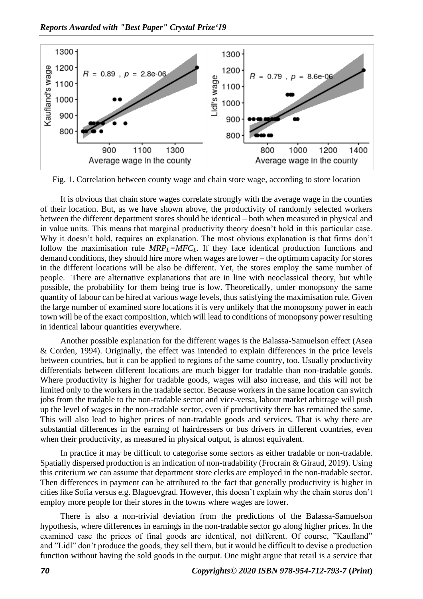

Fig. 1. Correlation between county wage and chain store wage, according to store location

It is obvious that chain store wages correlate strongly with the average wage in the counties of their location. But, as we have shown above, the productivity of randomly selected workers between the different department stores should be identical – both when measured in physical and in value units. This means that marginal productivity theory doesn't hold in this particular case. Why it doesn't hold, requires an explanation. The most obvious explanation is that firms don't follow the maximisation rule  $MRP<sub>L</sub>=MFC<sub>L</sub>$ . If they face identical production functions and demand conditions, they should hire more when wages are lower – the optimum capacity for stores in the different locations will be also be different. Yet, the stores employ the same number of people. There are alternative explanations that are in line with neoclassical theory, but while possible, the probability for them being true is low. Theoretically, under monopsony the same quantity of labour can be hired at various wage levels, thus satisfying the maximisation rule. Given the large number of examined store locations it is very unlikely that the monopsony power in each town will be of the exact composition, which will lead to conditions of monopsony power resulting in identical labour quantities everywhere.

Another possible explanation for the different wages is the Balassa-Samuelson effect (Asea & Corden, 1994). Originally, the effect was intended to explain differences in the price levels between countries, but it can be applied to regions of the same country, too. Usually productivity differentials between different locations are much bigger for tradable than non-tradable goods. Where productivity is higher for tradable goods, wages will also increase, and this will not be limited only to the workers in the tradable sector. Because workers in the same location can switch jobs from the tradable to the non-tradable sector and vice-versa, labour market arbitrage will push up the level of wages in the non-tradable sector, even if productivity there has remained the same. This will also lead to higher prices of non-tradable goods and services. That is why there are substantial differences in the earning of hairdressers or bus drivers in different countries, even when their productivity, as measured in physical output, is almost equivalent.

In practice it may be difficult to categorise some sectors as either tradable or non-tradable. Spatially dispersed production is an indication of non-tradability (Frocrain & Giraud, 2019). Using this criterium we can assume that department store clerks are employed in the non-tradable sector. Then differences in payment can be attributed to the fact that generally productivity is higher in cities like Sofia versus e.g. Blagoevgrad. However, this doesn't explain why the chain stores don't employ more people for their stores in the towns where wages are lower.

There is also a non-trivial deviation from the predictions of the Balassa-Samuelson hypothesis, where differences in earnings in the non-tradable sector go along higher prices. In the examined case the prices of final goods are identical, not different. Of course, "Kaufland" and "Lidl" don't produce the goods, they sell them, but it would be difficult to devise a production function without having the sold goods in the output. One might argue that retail is a service that